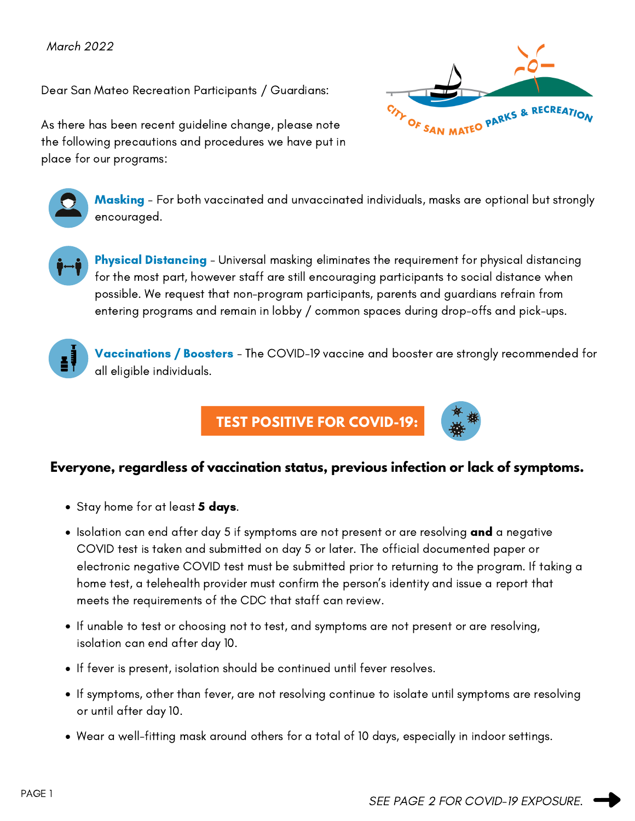Dear San Mateo Recreation Participants / Guardians:



As there has been recent guideline change, please note the following precautions and procedures we have put in place for our programs:



**Masking** - For both vaccinated and unvaccinated individuals, masks are optional but strongly encouraged.



**Physical Distancing** - Universal masking eliminates the requirement for physical distancing for the most part, however staff are still encouraging participants to social distance when possible. We request that non-program participants, parents and guardians refrain from entering programs and remain in lobby / common spaces during drop-offs and pick-ups.



Vaccinations / Boosters - The COVID-19 vaccine and booster are strongly recommended for all eligible individuals.

## **TEST POSITIVE FOR COVID-19:**



- Stay [home](https://www.cdph.ca.gov/Programs/CID/DCDC/CDPH%20Document%20Library/COVID-19/self-isolation-instructions.pdf) for at least **5 days**.
- Isolation can end after day 5 if symptoms are not present or are resolving and a negative COVID test is taken and submitted on day 5 or later. The official documented paper or electronic negative COVID test must be submitted prior to returning to the program. If taking a home test, a telehealth provider must confirm the person's identity and issue a report that meets the requirements of the CDC that staff can review.
- If unable to test or choosing not to test, and symptoms are not present or are resolving, isolation can end after day 10.
- If fever is present, isolation should be continued until fever resolves.
- If symptoms, other than fever, are not resolving continue to isolate until symptoms are resolving or until after day 10.
- Wear a well-fitting mask around others for a total of 10 days, especially in indoor settings.